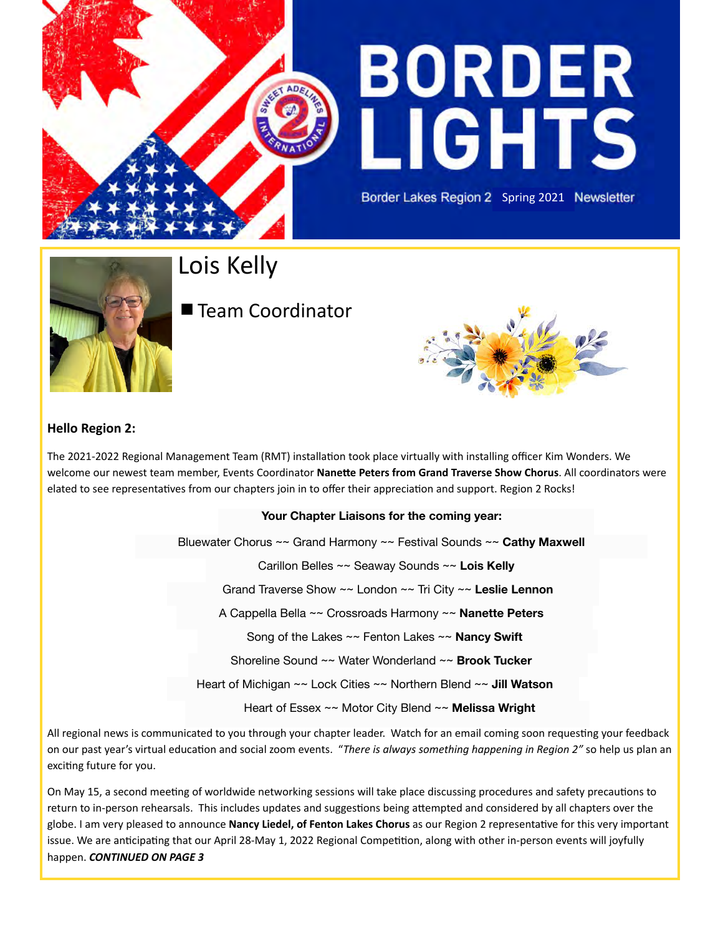

# **BORDER LIGHTS**

Border Lakes Region 2 Spring 2021 Newsletter



Lois Kelly

# ■ Team Coordinator



#### **Hello Region 2:**

The 2021-2022 Regional Management Team (RMT) installation took place virtually with installing officer Kim Wonders. We welcome our newest team member, Events Coordinator **Nanette Peters from Grand Traverse Show Chorus**. All coordinators were elated to see representatives from our chapters join in to offer their appreciation and support. Region 2 Rocks!

#### **Your Chapter Liaisons for the coming year:**

Bluewater Chorus ~~ Grand Harmony ~~ Festival Sounds ~~ **Cathy Maxwell** 

Carillon Belles ~~ Seaway Sounds ~~ **Lois Kelly** 

Grand Traverse Show ~~ London ~~ Tri City ~~ **Leslie Lennon** 

A Cappella Bella ~~ Crossroads Harmony ~~ **Nanette Peters** 

Song of the Lakes ~~ Fenton Lakes ~~ **Nancy Swift** 

Shoreline Sound ~~ Water Wonderland ~~ **Brook Tucker** 

Heart of Michigan ~~ Lock Cities ~~ Northern Blend ~~ **Jill Watson** 

Heart of Essex ~~ Motor City Blend ~~ **Melissa Wright** 

All regional news is communicated to you through your chapter leader. Watch for an email coming soon requesting your feedback on our past year's virtual education and social zoom events. "*There is always something happening in Region 2"* so help us plan an exciting future for you.

On May 15, a second meeting of worldwide networking sessions will take place discussing procedures and safety precautions to return to in-person rehearsals. This includes updates and suggestions being attempted and considered by all chapters over the globe. I am very pleased to announce **Nancy Liedel, of Fenton Lakes Chorus** as our Region 2 representative for this very important issue. We are anticipating that our April 28-May 1, 2022 Regional Competition, along with other in-person events will joyfully happen. *CONTINUED ON PAGE 3*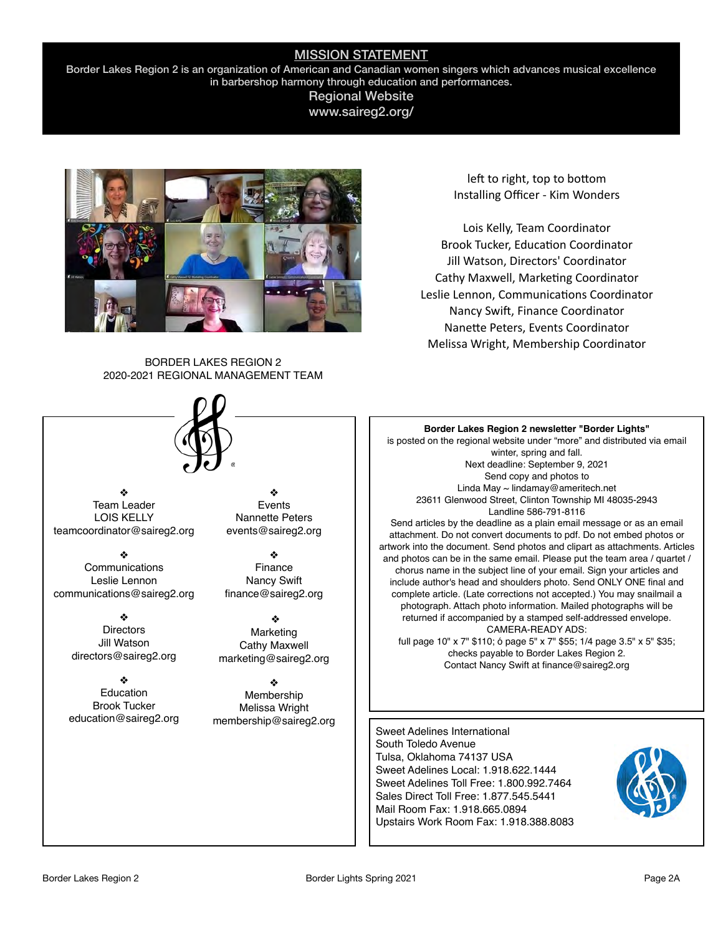#### MISSION STATEMENT

Border Lakes Region 2 is an organization of American and Canadian women singers which advances musical excellence in barbershop harmony through education and performances.

#### Regional Website www.saireg2.org/



left to right, top to bottom Installing Officer - Kim Wonders

Lois Kelly, Team Coordinator Brook Tucker, Education Coordinator Jill Watson, Directors' Coordinator Cathy Maxwell, Marketing Coordinator Leslie Lennon, Communications Coordinator Nancy Swift, Finance Coordinator Nanette Peters, Events Coordinator Melissa Wright, Membership Coordinator

BORDER LAKES REGION 2 2020-2021 REGIONAL MANAGEMENT TEAM



❖ Team Leader LOIS KELLY teamcoordinator@saireg2.org

❖ **Communications** Leslie Lennon communications@saireg2.org

> ❖ **Directors** Jill Watson directors@saireg2.org

❖ **Education** Brook Tucker education@saireg2.org

❖ Events Nannette Peters events@saireg2.org

❖ Finance Nancy Swift finance@saireg2.org

❖ Marketing Cathy Maxwell marketing@saireg2.org

❖ Membership Melissa Wright membership@saireg2.org

#### **Border Lakes Region 2 newsletter "Border Lights"**

is posted on the regional website under "more" and distributed via email winter, spring and fall. Next deadline: September 9, 2021 Send copy and photos to Linda May ~ lindamay@ameritech.net 23611 Glenwood Street, Clinton Township MI 48035-2943 Landline 586-791-8116

Send articles by the deadline as a plain email message or as an email attachment. Do not convert documents to pdf. Do not embed photos or artwork into the document. Send photos and clipart as attachments. Articles and photos can be in the same email. Please put the team area / quartet / chorus name in the subject line of your email. Sign your articles and include author's head and shoulders photo. Send ONLY ONE final and complete article. (Late corrections not accepted.) You may snailmail a photograph. Attach photo information. Mailed photographs will be returned if accompanied by a stamped self-addressed envelope. CAMERA-READY ADS:

full page 10" x 7" \$110; ó page 5" x 7" \$55; 1/4 page 3.5" x 5" \$35; checks payable to Border Lakes Region 2. Contact Nancy Swift at finance@saireg2.org

Sweet Adelines International South Toledo Avenue Tulsa, Oklahoma 74137 USA Sweet Adelines Local: 1.918.622.1444 Sweet Adelines Toll Free: 1.800.992.7464 Sales Direct Toll Free: 1.877.545.5441 Mail Room Fax: 1.918.665.0894 Upstairs Work Room Fax: 1.918.388.8083

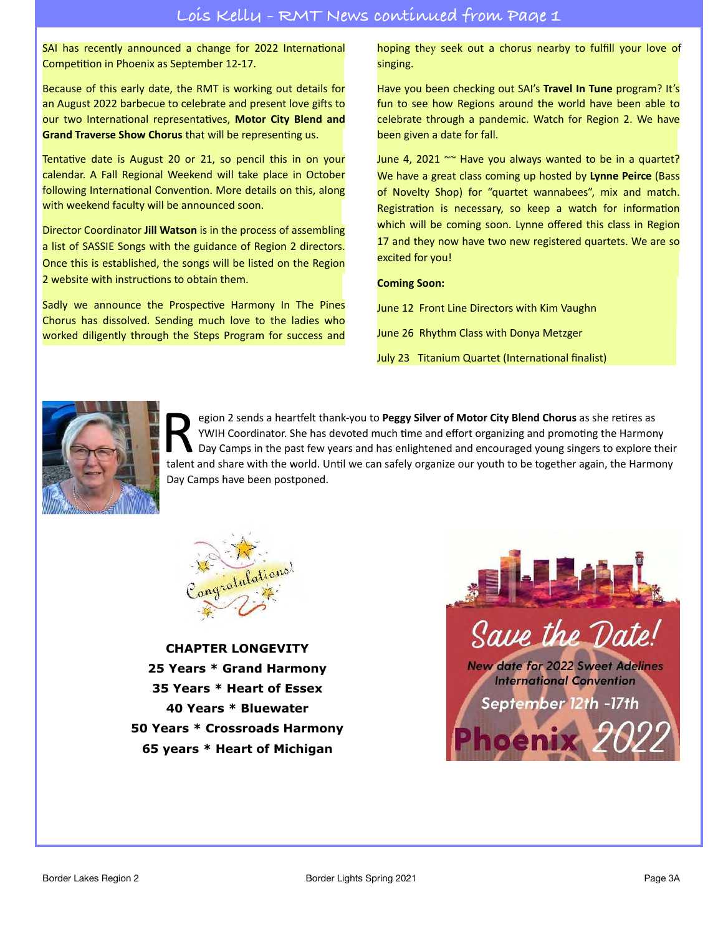SAI has recently announced a change for 2022 International Competition in Phoenix as September 12-17.

Because of this early date, the RMT is working out details for an August 2022 barbecue to celebrate and present love gifts to our two International representatives, **Motor City Blend and Grand Traverse Show Chorus** that will be representing us.

Tentative date is August 20 or 21, so pencil this in on your calendar. A Fall Regional Weekend will take place in October following International Convention. More details on this, along with weekend faculty will be announced soon.

Director Coordinator **Jill Watson** is in the process of assembling a list of SASSIE Songs with the guidance of Region 2 directors. Once this is established, the songs will be listed on the Region 2 website with instructions to obtain them.

Sadly we announce the Prospective Harmony In The Pines Chorus has dissolved. Sending much love to the ladies who worked diligently through the Steps Program for success and hoping they seek out a chorus nearby to fulfill your love of singing.

Have you been checking out SAI's **Travel In Tune** program? It's fun to see how Regions around the world have been able to celebrate through a pandemic. Watch for Region 2. We have been given a date for fall.

June 4, 2021  $\sim$  Have you always wanted to be in a quartet? We have a great class coming up hosted by **Lynne Peirce** (Bass of Novelty Shop) for "quartet wannabees", mix and match. Registration is necessary, so keep a watch for information which will be coming soon. Lynne offered this class in Region 17 and they now have two new registered quartets. We are so excited for you!

#### **Coming Soon:**

June 12 Front Line Directors with Kim Vaughn

June 26 Rhythm Class with Donya Metzger

July 23 Titanium Quartet (International finalist)



Fegion 2 sends a heartfelt thank-you to **Peggy Silver of Motor City Blend Chorus** as she retires as<br>
YWIH Coordinator. She has devoted much time and effort organizing and promoting the Harmon<br>
Day Camps in the past few yea YWIH Coordinator. She has devoted much time and effort organizing and promoting the Harmony Day Camps in the past few years and has enlightened and encouraged young singers to explore their talent and share with the world. Until we can safely organize our youth to be together again, the Harmony Day Camps have been postponed.



**CHAPTER LONGEVITY 25 Years \* Grand Harmony 35 Years \* Heart of Essex 40 Years \* Bluewater 50 Years \* Crossroads Harmony 65 years \* Heart of Michigan**

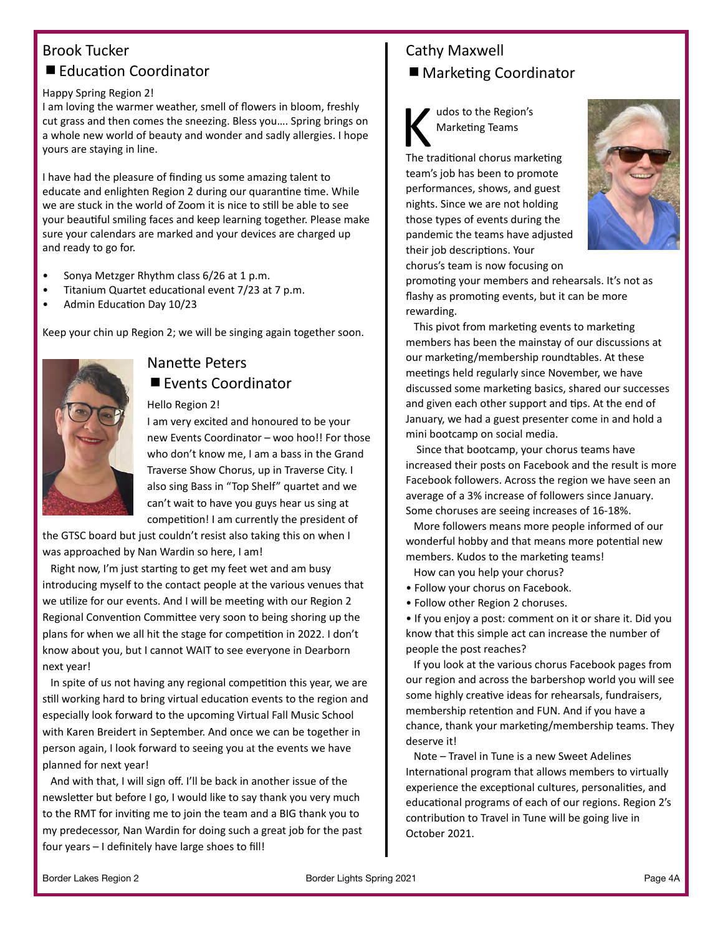## Brook Tucker ■ Education Coordinator

#### Happy Spring Region 2!

I am loving the warmer weather, smell of flowers in bloom, freshly cut grass and then comes the sneezing. Bless you…. Spring brings on a whole new world of beauty and wonder and sadly allergies. I hope yours are staying in line.

I have had the pleasure of finding us some amazing talent to educate and enlighten Region 2 during our quarantine time. While we are stuck in the world of Zoom it is nice to still be able to see your beautiful smiling faces and keep learning together. Please make sure your calendars are marked and your devices are charged up and ready to go for.

- Sonya Metzger Rhythm class 6/26 at 1 p.m.
- Titanium Quartet educational event 7/23 at 7 p.m.
- Admin Education Day 10/23

Keep your chin up Region 2; we will be singing again together soon.



## Nanette Peters

#### ■ Events Coordinator

#### Hello Region 2!

I am very excited and honoured to be your new Events Coordinator – woo hoo!! For those who don't know me, I am a bass in the Grand Traverse Show Chorus, up in Traverse City. I also sing Bass in "Top Shelf" quartet and we can't wait to have you guys hear us sing at competition! I am currently the president of

the GTSC board but just couldn't resist also taking this on when I was approached by Nan Wardin so here, I am!

 Right now, I'm just starting to get my feet wet and am busy introducing myself to the contact people at the various venues that we utilize for our events. And I will be meeting with our Region 2 Regional Convention Committee very soon to being shoring up the plans for when we all hit the stage for competition in 2022. I don't know about you, but I cannot WAIT to see everyone in Dearborn next year!

In spite of us not having any regional competition this year, we are still working hard to bring virtual education events to the region and especially look forward to the upcoming Virtual Fall Music School with Karen Breidert in September. And once we can be together in person again, I look forward to seeing you at the events we have planned for next year!

 And with that, I will sign off. I'll be back in another issue of the newsletter but before I go, I would like to say thank you very much to the RMT for inviting me to join the team and a BIG thank you to my predecessor, Nan Wardin for doing such a great job for the past four years – I definitely have large shoes to fill!

## Cathy Maxwell

■ Marketing Coordinator



K udos to the Region's<br>
Marketing Teams<br>
The traditional chorus marketing Marketing Teams

team's job has been to promote performances, shows, and guest nights. Since we are not holding those types of events during the pandemic the teams have adjusted their job descriptions. Your chorus's team is now focusing on



promoting your members and rehearsals. It's not as flashy as promoting events, but it can be more rewarding.

 This pivot from marketing events to marketing members has been the mainstay of our discussions at our marketing/membership roundtables. At these meetings held regularly since November, we have discussed some marketing basics, shared our successes and given each other support and tips. At the end of January, we had a guest presenter come in and hold a mini bootcamp on social media.

 Since that bootcamp, your chorus teams have increased their posts on Facebook and the result is more Facebook followers. Across the region we have seen an average of a 3% increase of followers since January. Some choruses are seeing increases of 16-18%.

More followers means more people informed of our wonderful hobby and that means more potential new members. Kudos to the marketing teams!

How can you help your chorus?

- Follow your chorus on Facebook.
- Follow other Region 2 choruses.

• If you enjoy a post: comment on it or share it. Did you know that this simple act can increase the number of people the post reaches?

 If you look at the various chorus Facebook pages from our region and across the barbershop world you will see some highly creative ideas for rehearsals, fundraisers, membership retention and FUN. And if you have a chance, thank your marketing/membership teams. They deserve it!

 Note – Travel in Tune is a new Sweet Adelines International program that allows members to virtually experience the exceptional cultures, personalities, and educational programs of each of our regions. Region 2's contribution to Travel in Tune will be going live in October 2021.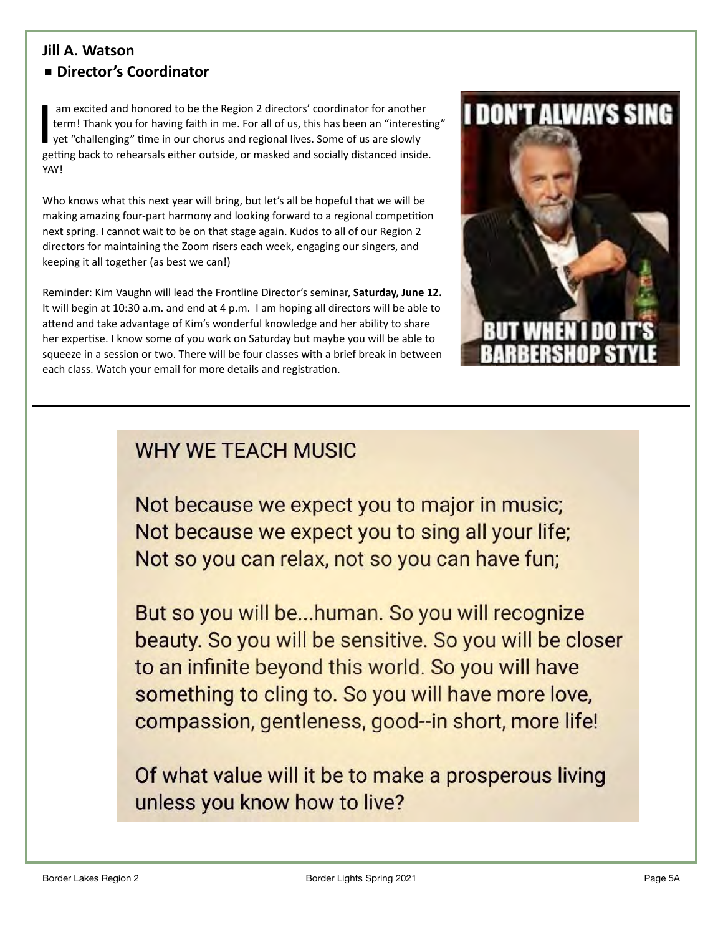### **Jill A. Watson** ■ Director's Coordinator

I am excited and honored to be the Region 2 directors' coordinator for another<br>term! Thank you for having faith in me. For all of us, this has been an "interestin<br>yet "challenging" time in our chorus and regional lives. So am excited and honored to be the Region 2 directors' coordinator for another term! Thank you for having faith in me. For all of us, this has been an "interesting" yet "challenging" time in our chorus and regional lives. Some of us are slowly YAY!

Who knows what this next year will bring, but let's all be hopeful that we will be making amazing four-part harmony and looking forward to a regional competition next spring. I cannot wait to be on that stage again. Kudos to all of our Region 2 directors for maintaining the Zoom risers each week, engaging our singers, and keeping it all together (as best we can!)

Reminder: Kim Vaughn will lead the Frontline Director's seminar, **Saturday, June 12.**  It will begin at 10:30 a.m. and end at 4 p.m. I am hoping all directors will be able to attend and take advantage of Kim's wonderful knowledge and her ability to share her expertise. I know some of you work on Saturday but maybe you will be able to squeeze in a session or two. There will be four classes with a brief break in between each class. Watch your email for more details and registration.



## **WHY WE TEACH MUSIC**

Not because we expect you to major in music; Not because we expect you to sing all your life; Not so you can relax, not so you can have fun;

But so you will be...human. So you will recognize beauty. So you will be sensitive. So you will be closer to an infinite beyond this world. So you will have something to cling to. So you will have more love, compassion, gentleness, good--in short, more life!

Of what value will it be to make a prosperous living unless you know how to live?